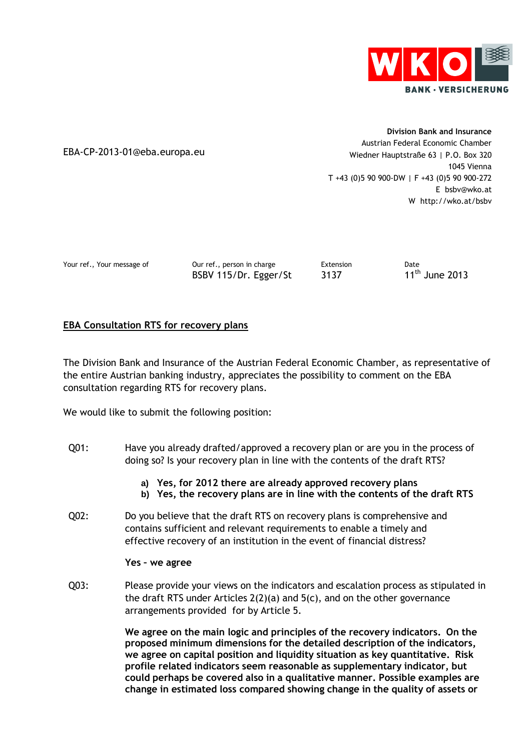

EBA-CP-2013-01@eba.europa.eu

**Division Bank and Insurance** Austrian Federal Economic Chamber Wiedner Hauptstraße 63 | P.O. Box 320 1045 Vienna T +43 (0)5 90 900-DW | F +43 (0)5 90 900-272 E bsbv@wko.at W http://wko.at/bsbv

Your ref., Your message of **Our ref., person in charge** Extension **Extension** Date BSBV 115/Dr. Egger/St 3137

 $11<sup>th</sup>$  June 2013

# **EBA Consultation RTS for recovery plans**

The Division Bank and Insurance of the Austrian Federal Economic Chamber, as representative of the entire Austrian banking industry, appreciates the possibility to comment on the EBA consultation regarding RTS for recovery plans.

We would like to submit the following position:

- Q01: Have you already drafted/approved a recovery plan or are you in the process of doing so? Is your recovery plan in line with the contents of the draft RTS?
	- **a) Yes, for 2012 there are already approved recovery plans**
	- **b) Yes, the recovery plans are in line with the contents of the draft RTS**
- Q02: Do you believe that the draft RTS on recovery plans is comprehensive and contains sufficient and relevant requirements to enable a timely and effective recovery of an institution in the event of financial distress?

#### **Yes – we agree**

Q03: Please provide your views on the indicators and escalation process as stipulated in the draft RTS under Articles  $2(2)(a)$  and  $5(c)$ , and on the other governance arrangements provided for by Article 5.

> **We agree on the main logic and principles of the recovery indicators. On the proposed minimum dimensions for the detailed description of the indicators, we agree on capital position and liquidity situation as key quantitative. Risk profile related indicators seem reasonable as supplementary indicator, but could perhaps be covered also in a qualitative manner. Possible examples are change in estimated loss compared showing change in the quality of assets or**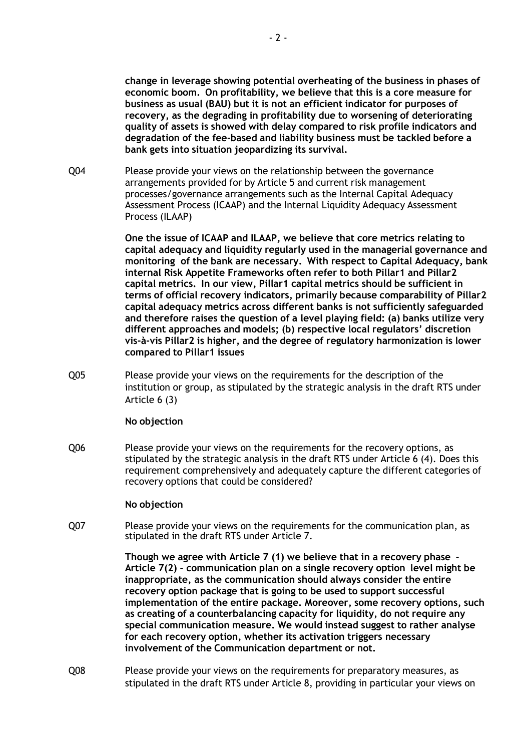**change in leverage showing potential overheating of the business in phases of economic boom. On profitability, we believe that this is a core measure for business as usual (BAU) but it is not an efficient indicator for purposes of recovery, as the degrading in profitability due to worsening of deteriorating quality of assets is showed with delay compared to risk profile indicators and degradation of the fee-based and liability business must be tackled before a bank gets into situation jeopardizing its survival.**

Q04 Please provide your views on the relationship between the governance arrangements provided for by Article 5 and current risk management processes/governance arrangements such as the Internal Capital Adequacy Assessment Process (ICAAP) and the Internal Liquidity Adequacy Assessment Process (ILAAP)

> **One the issue of ICAAP and ILAAP, we believe that core metrics relating to capital adequacy and liquidity regularly used in the managerial governance and monitoring of the bank are necessary. With respect to Capital Adequacy, bank internal Risk Appetite Frameworks often refer to both Pillar1 and Pillar2 capital metrics. In our view, Pillar1 capital metrics should be sufficient in terms of official recovery indicators, primarily because comparability of Pillar2 capital adequacy metrics across different banks is not sufficiently safeguarded and therefore raises the question of a level playing field: (a) banks utilize very different approaches and models; (b) respective local regulators' discretion vis-à-vis Pillar2 is higher, and the degree of regulatory harmonization is lower compared to Pillar1 issues**

Q05 Please provide your views on the requirements for the description of the institution or group, as stipulated by the strategic analysis in the draft RTS under Article 6 (3)

#### **No objection**

Q06 Please provide your views on the requirements for the recovery options, as stipulated by the strategic analysis in the draft RTS under Article 6 (4). Does this requirement comprehensively and adequately capture the different categories of recovery options that could be considered?

#### **No objection**

Q07 Please provide your views on the requirements for the communication plan, as stipulated in the draft RTS under Article 7.

> **Though we agree with Article 7 (1) we believe that in a recovery phase - Article 7(2) - communication plan on a single recovery option level might be inappropriate, as the communication should always consider the entire recovery option package that is going to be used to support successful implementation of the entire package. Moreover, some recovery options, such as creating of a counterbalancing capacity for liquidity, do not require any special communication measure. We would instead suggest to rather analyse for each recovery option, whether its activation triggers necessary involvement of the Communication department or not.**

Q08 Please provide your views on the requirements for preparatory measures, as stipulated in the draft RTS under Article 8, providing in particular your views on